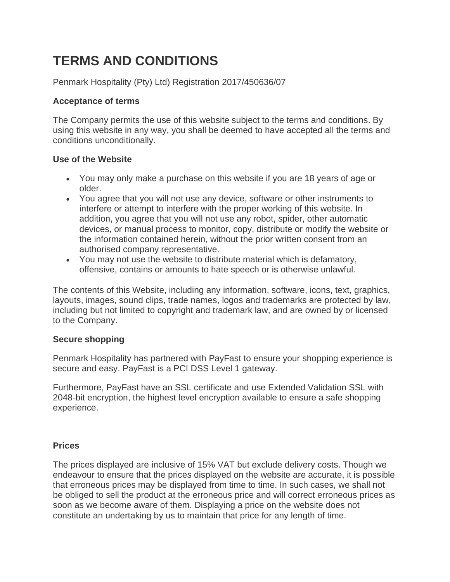# **TERMS AND CONDITIONS**

Penmark Hospitality (Pty) Ltd) Registration 2017/450636/07

## **Acceptance of terms**

The Company permits the use of this website subject to the terms and conditions. By using this website in any way, you shall be deemed to have accepted all the terms and conditions unconditionally.

# **Use of the Website**

- You may only make a purchase on this website if you are 18 years of age or older.
- You agree that you will not use any device, software or other instruments to interfere or attempt to interfere with the proper working of this website. In addition, you agree that you will not use any robot, spider, other automatic devices, or manual process to monitor, copy, distribute or modify the website or the information contained herein, without the prior written consent from an authorised company representative.
- You may not use the website to distribute material which is defamatory, offensive, contains or amounts to hate speech or is otherwise unlawful.

The contents of this Website, including any information, software, icons, text, graphics, layouts, images, sound clips, trade names, logos and trademarks are protected by law, including but not limited to copyright and trademark law, and are owned by or licensed to the Company.

# **Secure shopping**

Penmark Hospitality has partnered with PayFast to ensure your shopping experience is secure and easy. PayFast is a PCI DSS Level 1 gateway.

Furthermore, PayFast have an SSL certificate and use Extended Validation SSL with 2048-bit encryption, the highest level encryption available to ensure a safe shopping experience.

# **Prices**

The prices displayed are inclusive of 15% VAT but exclude delivery costs. Though we endeavour to ensure that the prices displayed on the website are accurate, it is possible that erroneous prices may be displayed from time to time. In such cases, we shall not be obliged to sell the product at the erroneous price and will correct erroneous prices as soon as we become aware of them. Displaying a price on the website does not constitute an undertaking by us to maintain that price for any length of time.